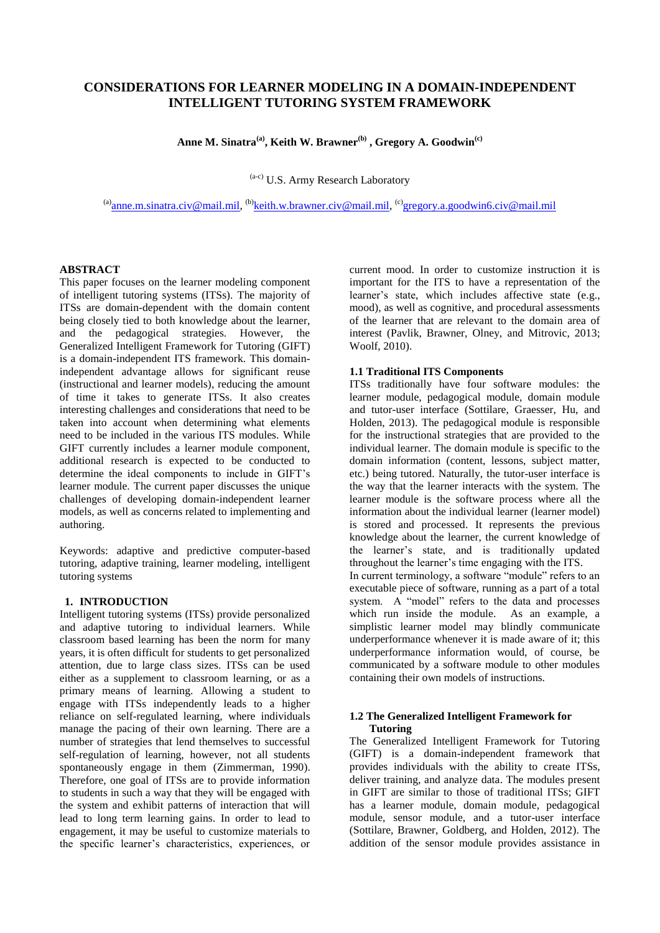# **CONSIDERATIONS FOR LEARNER MODELING IN A DOMAIN-INDEPENDENT INTELLIGENT TUTORING SYSTEM FRAMEWORK**

**Anne M. Sinatra(a), Keith W. Brawner(b) , Gregory A. Goodwin(c)**

(a-c) U.S. Army Research Laboratory

<sup>(a)</sup>[anne.m.sinatra.civ@mail.mil,](mailto:anne.m.sinatra.civ@mail.mil) <sup>(b)</sup>[keith.w.brawner.civ@mail.mil,](mailto:keith.w.brawner.civ@mail.mil) <sup>(c)</sup>[gregory.a.goodwin6.civ@mail.mil](mailto:gregory.a.goodwin6.civ@mail.mil)

#### **ABSTRACT**

This paper focuses on the learner modeling component of intelligent tutoring systems (ITSs). The majority of ITSs are domain-dependent with the domain content being closely tied to both knowledge about the learner, and the pedagogical strategies. However, the Generalized Intelligent Framework for Tutoring (GIFT) is a domain-independent ITS framework. This domainindependent advantage allows for significant reuse (instructional and learner models), reducing the amount of time it takes to generate ITSs. It also creates interesting challenges and considerations that need to be taken into account when determining what elements need to be included in the various ITS modules. While GIFT currently includes a learner module component, additional research is expected to be conducted to determine the ideal components to include in GIFT's learner module. The current paper discusses the unique challenges of developing domain-independent learner models, as well as concerns related to implementing and authoring.

Keywords: adaptive and predictive computer-based tutoring, adaptive training, learner modeling, intelligent tutoring systems

## **1. INTRODUCTION**

Intelligent tutoring systems (ITSs) provide personalized and adaptive tutoring to individual learners. While classroom based learning has been the norm for many years, it is often difficult for students to get personalized attention, due to large class sizes. ITSs can be used either as a supplement to classroom learning, or as a primary means of learning. Allowing a student to engage with ITSs independently leads to a higher reliance on self-regulated learning, where individuals manage the pacing of their own learning. There are a number of strategies that lend themselves to successful self-regulation of learning, however, not all students spontaneously engage in them (Zimmerman, 1990). Therefore, one goal of ITSs are to provide information to students in such a way that they will be engaged with the system and exhibit patterns of interaction that will lead to long term learning gains. In order to lead to engagement, it may be useful to customize materials to the specific learner's characteristics, experiences, or

current mood. In order to customize instruction it is important for the ITS to have a representation of the learner's state, which includes affective state (e.g., mood), as well as cognitive, and procedural assessments of the learner that are relevant to the domain area of interest (Pavlik, Brawner, Olney, and Mitrovic, 2013; Woolf, 2010).

## **1.1 Traditional ITS Components**

ITSs traditionally have four software modules: the learner module, pedagogical module, domain module and tutor-user interface (Sottilare, Graesser, Hu, and Holden, 2013). The pedagogical module is responsible for the instructional strategies that are provided to the individual learner. The domain module is specific to the domain information (content, lessons, subject matter, etc.) being tutored. Naturally, the tutor-user interface is the way that the learner interacts with the system. The learner module is the software process where all the information about the individual learner (learner model) is stored and processed. It represents the previous knowledge about the learner, the current knowledge of the learner's state, and is traditionally updated throughout the learner's time engaging with the ITS. In current terminology, a software "module" refers to an executable piece of software, running as a part of a total system. A "model" refers to the data and processes which run inside the module. As an example, a simplistic learner model may blindly communicate underperformance whenever it is made aware of it; this underperformance information would, of course, be communicated by a software module to other modules containing their own models of instructions.

### **1.2 The Generalized Intelligent Framework for Tutoring**

The Generalized Intelligent Framework for Tutoring (GIFT) is a domain-independent framework that provides individuals with the ability to create ITSs, deliver training, and analyze data. The modules present in GIFT are similar to those of traditional ITSs; GIFT has a learner module, domain module, pedagogical module, sensor module, and a tutor-user interface (Sottilare, Brawner, Goldberg, and Holden, 2012). The addition of the sensor module provides assistance in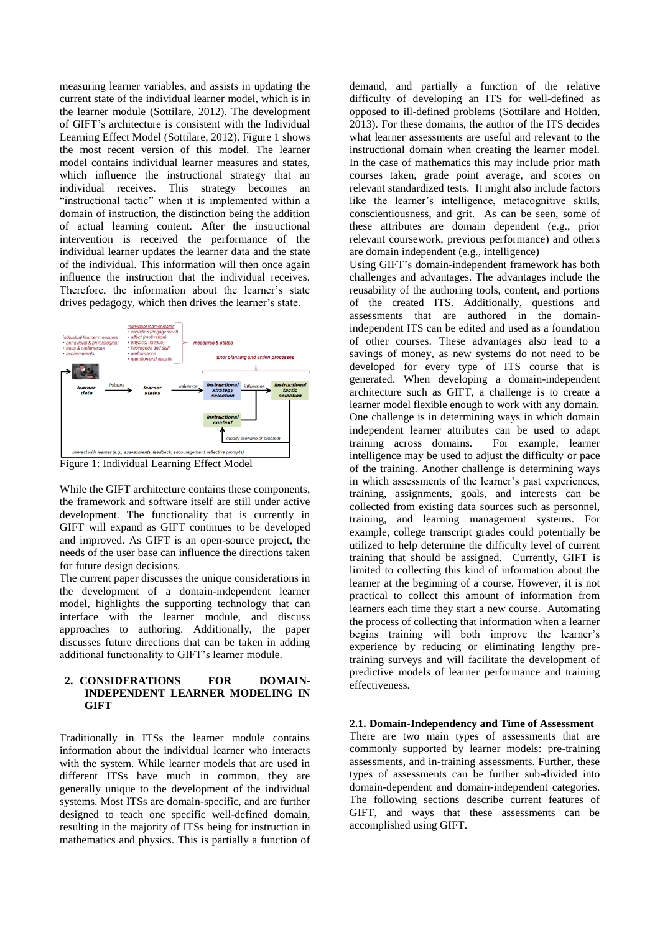measuring learner variables, and assists in updating the current state of the individual learner model, which is in the learner module (Sottilare, 2012). The development of GIFT's architecture is consistent with the Individual Learning Effect Model (Sottilare, 2012). [Figure 1](#page-1-0) shows the most recent version of this model. The learner model contains individual learner measures and states, which influence the instructional strategy that an individual receives. This strategy becomes an "instructional tactic" when it is implemented within a domain of instruction, the distinction being the addition of actual learning content. After the instructional intervention is received the performance of the individual learner updates the learner data and the state of the individual. This information will then once again influence the instruction that the individual receives. Therefore, the information about the learner's state drives pedagogy, which then drives the learner's state.



<span id="page-1-0"></span>Figure 1: Individual Learning Effect Model

While the GIFT architecture contains these components, the framework and software itself are still under active development. The functionality that is currently in GIFT will expand as GIFT continues to be developed and improved. As GIFT is an open-source project, the needs of the user base can influence the directions taken for future design decisions.

The current paper discusses the unique considerations in the development of a domain-independent learner model, highlights the supporting technology that can interface with the learner module, and discuss approaches to authoring. Additionally, the paper discusses future directions that can be taken in adding additional functionality to GIFT's learner module.

### **2. CONSIDERATIONS FOR DOMAIN-INDEPENDENT LEARNER MODELING IN GIFT**

Traditionally in ITSs the learner module contains information about the individual learner who interacts with the system. While learner models that are used in different ITSs have much in common, they are generally unique to the development of the individual systems. Most ITSs are domain-specific, and are further designed to teach one specific well-defined domain, resulting in the majority of ITSs being for instruction in mathematics and physics. This is partially a function of demand, and partially a function of the relative difficulty of developing an ITS for well-defined as opposed to ill-defined problems (Sottilare and Holden, 2013). For these domains, the author of the ITS decides what learner assessments are useful and relevant to the instructional domain when creating the learner model. In the case of mathematics this may include prior math courses taken, grade point average, and scores on relevant standardized tests. It might also include factors like the learner's intelligence, metacognitive skills, conscientiousness, and grit. As can be seen, some of these attributes are domain dependent (e.g., prior relevant coursework, previous performance) and others are domain independent (e.g., intelligence)

Using GIFT's domain-independent framework has both challenges and advantages. The advantages include the reusability of the authoring tools, content, and portions of the created ITS. Additionally, questions and assessments that are authored in the domainindependent ITS can be edited and used as a foundation of other courses. These advantages also lead to a savings of money, as new systems do not need to be developed for every type of ITS course that is generated. When developing a domain-independent architecture such as GIFT, a challenge is to create a learner model flexible enough to work with any domain. One challenge is in determining ways in which domain independent learner attributes can be used to adapt<br>training across domains. For example, learner training across domains. intelligence may be used to adjust the difficulty or pace of the training. Another challenge is determining ways in which assessments of the learner's past experiences, training, assignments, goals, and interests can be collected from existing data sources such as personnel, training, and learning management systems. For example, college transcript grades could potentially be utilized to help determine the difficulty level of current training that should be assigned. Currently, GIFT is limited to collecting this kind of information about the learner at the beginning of a course. However, it is not practical to collect this amount of information from learners each time they start a new course. Automating the process of collecting that information when a learner begins training will both improve the learner's experience by reducing or eliminating lengthy pretraining surveys and will facilitate the development of predictive models of learner performance and training effectiveness.

## **2.1. Domain-Independency and Time of Assessment**

There are two main types of assessments that are commonly supported by learner models: pre-training assessments, and in-training assessments. Further, these types of assessments can be further sub-divided into domain-dependent and domain-independent categories. The following sections describe current features of GIFT, and ways that these assessments can be accomplished using GIFT.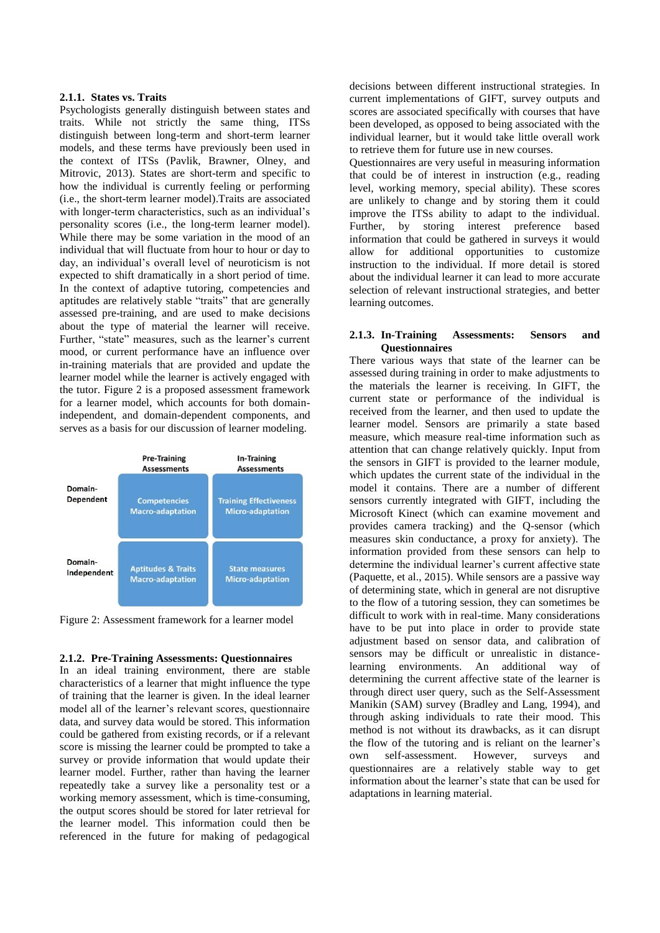#### **2.1.1. States vs. Traits**

Psychologists generally distinguish between states and traits. While not strictly the same thing, ITSs distinguish between long-term and short-term learner models, and these terms have previously been used in the context of ITSs (Pavlik, Brawner, Olney, and Mitrovic, 2013). States are short-term and specific to how the individual is currently feeling or performing (i.e., the short-term learner model).Traits are associated with longer-term characteristics, such as an individual's personality scores (i.e., the long-term learner model). While there may be some variation in the mood of an individual that will fluctuate from hour to hour or day to day, an individual's overall level of neuroticism is not expected to shift dramatically in a short period of time. In the context of adaptive tutoring, competencies and aptitudes are relatively stable "traits" that are generally assessed pre-training, and are used to make decisions about the type of material the learner will receive. Further, "state" measures, such as the learner's current mood, or current performance have an influence over in-training materials that are provided and update the learner model while the learner is actively engaged with the tutor. Figure 2 is a proposed assessment framework for a learner model, which accounts for both domainindependent, and domain-dependent components, and serves as a basis for our discussion of learner modeling.



Figure 2: Assessment framework for a learner model

## **2.1.2. Pre-Training Assessments: Questionnaires**

In an ideal training environment, there are stable characteristics of a learner that might influence the type of training that the learner is given. In the ideal learner model all of the learner's relevant scores, questionnaire data, and survey data would be stored. This information could be gathered from existing records, or if a relevant score is missing the learner could be prompted to take a survey or provide information that would update their learner model. Further, rather than having the learner repeatedly take a survey like a personality test or a working memory assessment, which is time-consuming, the output scores should be stored for later retrieval for the learner model. This information could then be referenced in the future for making of pedagogical

decisions between different instructional strategies. In current implementations of GIFT, survey outputs and scores are associated specifically with courses that have been developed, as opposed to being associated with the individual learner, but it would take little overall work to retrieve them for future use in new courses.

Questionnaires are very useful in measuring information that could be of interest in instruction (e.g., reading level, working memory, special ability). These scores are unlikely to change and by storing them it could improve the ITSs ability to adapt to the individual. Further, by storing interest preference based information that could be gathered in surveys it would allow for additional opportunities to customize instruction to the individual. If more detail is stored about the individual learner it can lead to more accurate selection of relevant instructional strategies, and better learning outcomes.

#### **2.1.3. In-Training Assessments: Sensors and Questionnaires**

There various ways that state of the learner can be assessed during training in order to make adjustments to the materials the learner is receiving. In GIFT, the current state or performance of the individual is received from the learner, and then used to update the learner model. Sensors are primarily a state based measure, which measure real-time information such as attention that can change relatively quickly. Input from the sensors in GIFT is provided to the learner module, which updates the current state of the individual in the model it contains. There are a number of different sensors currently integrated with GIFT, including the Microsoft Kinect (which can examine movement and provides camera tracking) and the Q-sensor (which measures skin conductance, a proxy for anxiety). The information provided from these sensors can help to determine the individual learner's current affective state (Paquette, et al., 2015). While sensors are a passive way of determining state, which in general are not disruptive to the flow of a tutoring session, they can sometimes be difficult to work with in real-time. Many considerations have to be put into place in order to provide state adjustment based on sensor data, and calibration of sensors may be difficult or unrealistic in distancelearning environments. An additional way of determining the current affective state of the learner is through direct user query, such as the Self-Assessment Manikin (SAM) survey (Bradley and Lang, 1994), and through asking individuals to rate their mood. This method is not without its drawbacks, as it can disrupt the flow of the tutoring and is reliant on the learner's own self-assessment. However, surveys and questionnaires are a relatively stable way to get information about the learner's state that can be used for adaptations in learning material.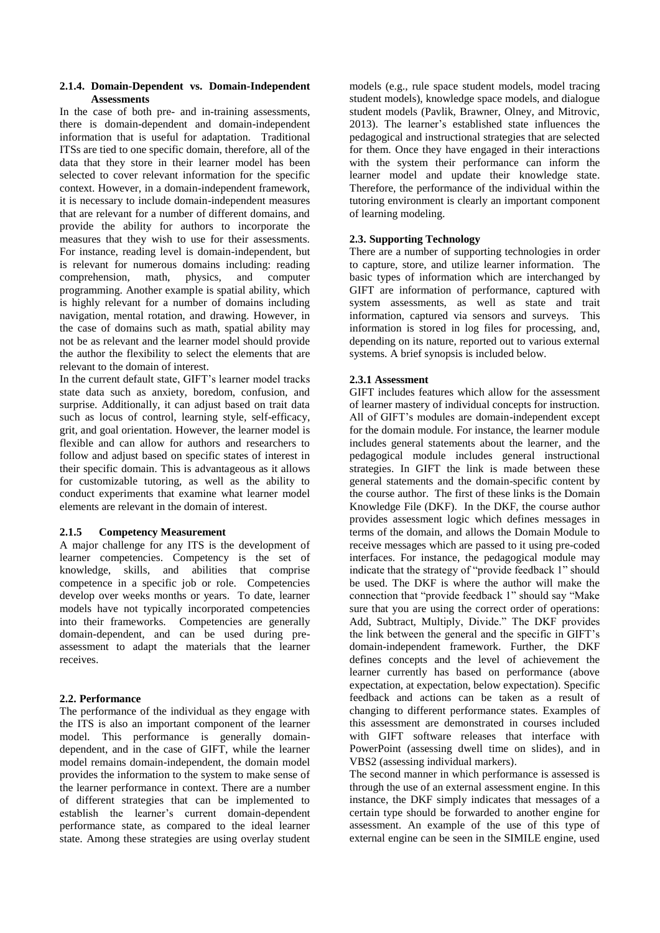### **2.1.4. Domain-Dependent vs. Domain-Independent Assessments**

In the case of both pre- and in-training assessments, there is domain-dependent and domain-independent information that is useful for adaptation. Traditional ITSs are tied to one specific domain, therefore, all of the data that they store in their learner model has been selected to cover relevant information for the specific context. However, in a domain-independent framework, it is necessary to include domain-independent measures that are relevant for a number of different domains, and provide the ability for authors to incorporate the measures that they wish to use for their assessments. For instance, reading level is domain-independent, but is relevant for numerous domains including: reading<br>comprehension, math, physics, and computer comprehension, math, physics, and computer programming. Another example is spatial ability, which is highly relevant for a number of domains including navigation, mental rotation, and drawing. However, in the case of domains such as math, spatial ability may not be as relevant and the learner model should provide the author the flexibility to select the elements that are relevant to the domain of interest.

In the current default state, GIFT's learner model tracks state data such as anxiety, boredom, confusion, and surprise. Additionally, it can adjust based on trait data such as locus of control, learning style, self-efficacy, grit, and goal orientation. However, the learner model is flexible and can allow for authors and researchers to follow and adjust based on specific states of interest in their specific domain. This is advantageous as it allows for customizable tutoring, as well as the ability to conduct experiments that examine what learner model elements are relevant in the domain of interest.

## **2.1.5 Competency Measurement**

A major challenge for any ITS is the development of learner competencies. Competency is the set of knowledge, skills, and abilities that comprise competence in a specific job or role. Competencies develop over weeks months or years. To date, learner models have not typically incorporated competencies into their frameworks. Competencies are generally domain-dependent, and can be used during preassessment to adapt the materials that the learner receives.

## **2.2. Performance**

The performance of the individual as they engage with the ITS is also an important component of the learner model. This performance is generally domaindependent, and in the case of GIFT, while the learner model remains domain-independent, the domain model provides the information to the system to make sense of the learner performance in context. There are a number of different strategies that can be implemented to establish the learner's current domain-dependent performance state, as compared to the ideal learner state. Among these strategies are using overlay student models (e.g., rule space student models, model tracing student models), knowledge space models, and dialogue student models (Pavlik, Brawner, Olney, and Mitrovic, 2013). The learner's established state influences the pedagogical and instructional strategies that are selected for them. Once they have engaged in their interactions with the system their performance can inform the learner model and update their knowledge state. Therefore, the performance of the individual within the tutoring environment is clearly an important component of learning modeling.

## **2.3. Supporting Technology**

There are a number of supporting technologies in order to capture, store, and utilize learner information. The basic types of information which are interchanged by GIFT are information of performance, captured with system assessments, as well as state and trait information, captured via sensors and surveys. This information is stored in log files for processing, and, depending on its nature, reported out to various external systems. A brief synopsis is included below.

## **2.3.1 Assessment**

GIFT includes features which allow for the assessment of learner mastery of individual concepts for instruction. All of GIFT's modules are domain-independent except for the domain module. For instance, the learner module includes general statements about the learner, and the pedagogical module includes general instructional strategies. In GIFT the link is made between these general statements and the domain-specific content by the course author. The first of these links is the Domain Knowledge File (DKF). In the DKF, the course author provides assessment logic which defines messages in terms of the domain, and allows the Domain Module to receive messages which are passed to it using pre-coded interfaces. For instance, the pedagogical module may indicate that the strategy of "provide feedback 1" should be used. The DKF is where the author will make the connection that "provide feedback 1" should say "Make sure that you are using the correct order of operations: Add, Subtract, Multiply, Divide." The DKF provides the link between the general and the specific in GIFT's domain-independent framework. Further, the DKF defines concepts and the level of achievement the learner currently has based on performance (above expectation, at expectation, below expectation). Specific feedback and actions can be taken as a result of changing to different performance states. Examples of this assessment are demonstrated in courses included with GIFT software releases that interface with PowerPoint (assessing dwell time on slides), and in VBS2 (assessing individual markers).

The second manner in which performance is assessed is through the use of an external assessment engine. In this instance, the DKF simply indicates that messages of a certain type should be forwarded to another engine for assessment. An example of the use of this type of external engine can be seen in the SIMILE engine, used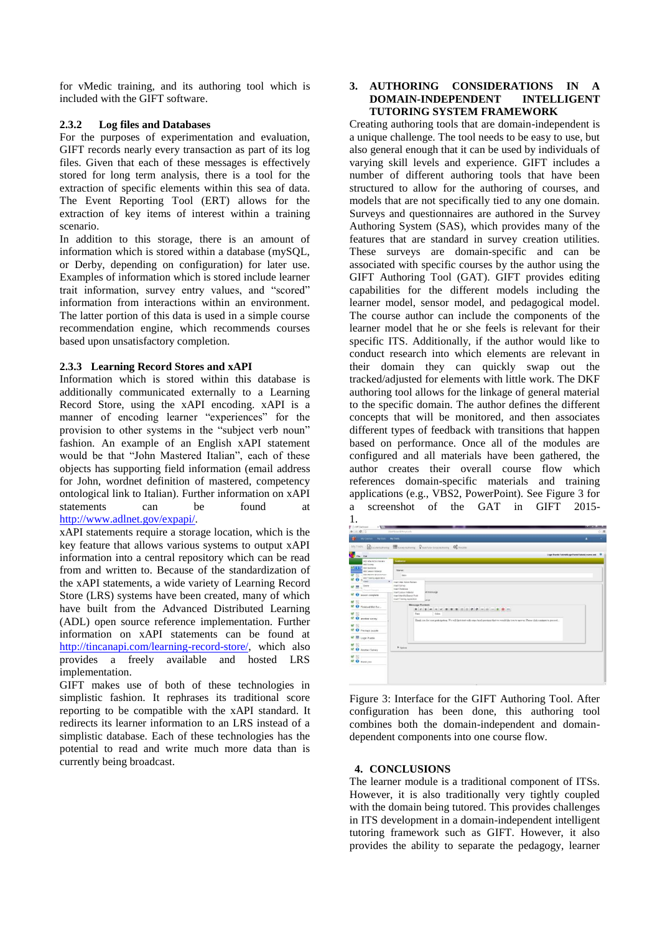for vMedic training, and its authoring tool which is included with the GIFT software.

### **2.3.2 Log files and Databases**

For the purposes of experimentation and evaluation, GIFT records nearly every transaction as part of its log files. Given that each of these messages is effectively stored for long term analysis, there is a tool for the extraction of specific elements within this sea of data. The Event Reporting Tool (ERT) allows for the extraction of key items of interest within a training scenario.

In addition to this storage, there is an amount of information which is stored within a database (mySQL, or Derby, depending on configuration) for later use. Examples of information which is stored include learner trait information, survey entry values, and "scored" information from interactions within an environment. The latter portion of this data is used in a simple course recommendation engine, which recommends courses based upon unsatisfactory completion.

#### **2.3.3 Learning Record Stores and xAPI**

Information which is stored within this database is additionally communicated externally to a Learning Record Store, using the xAPI encoding. xAPI is a manner of encoding learner "experiences" for the provision to other systems in the "subject verb noun" fashion. An example of an English xAPI statement would be that "John Mastered Italian", each of these objects has supporting field information (email address for John, wordnet definition of mastered, competency ontological link to Italian). Further information on xAPI statements can be found at [http://www.adlnet.gov/expapi/.](http://www.adlnet.gov/expapi/verbs/)

xAPI statements require a storage location, which is the key feature that allows various systems to output xAPI information into a central repository which can be read from and written to. Because of the standardization of the xAPI statements, a wide variety of Learning Record Store (LRS) systems have been created, many of which have built from the Advanced Distributed Learning (ADL) open source reference implementation. Further information on xAPI statements can be found at [http://tincanapi.com/learning-record-store/,](http://tincanapi.com/learning-record-store/) which also provides a freely available and hosted LRS implementation.

GIFT makes use of both of these technologies in simplistic fashion. It rephrases its traditional score reporting to be compatible with the xAPI standard. It redirects its learner information to an LRS instead of a simplistic database. Each of these technologies has the potential to read and write much more data than is currently being broadcast.

### **3. AUTHORING CONSIDERATIONS IN A DOMAIN-INDEPENDENT INTELLIGENT TUTORING SYSTEM FRAMEWORK**

Creating authoring tools that are domain-independent is a unique challenge. The tool needs to be easy to use, but also general enough that it can be used by individuals of varying skill levels and experience. GIFT includes a number of different authoring tools that have been structured to allow for the authoring of courses, and models that are not specifically tied to any one domain. Surveys and questionnaires are authored in the Survey Authoring System (SAS), which provides many of the features that are standard in survey creation utilities. These surveys are domain-specific and can be associated with specific courses by the author using the GIFT Authoring Tool (GAT). GIFT provides editing capabilities for the different models including the learner model, sensor model, and pedagogical model. The course author can include the components of the learner model that he or she feels is relevant for their specific ITS. Additionally, if the author would like to conduct research into which elements are relevant in their domain they can quickly swap out the tracked/adjusted for elements with little work. The DKF authoring tool allows for the linkage of general material to the specific domain. The author defines the different concepts that will be monitored, and then associates different types of feedback with transitions that happen based on performance. Once all of the modules are configured and all materials have been gathered, the author creates their overall course flow which references domain-specific materials and training applications (e.g., VBS2, PowerPoint). See Figure 3 for a screenshot of the GAT in GIFT 2015- 1.

| C (Iff Dachboard)<br>$-1.001$<br>$4 - 0$            | Alashbrand/Wrighteds                                   |                                                                                                                                                      |                                                    |
|-----------------------------------------------------|--------------------------------------------------------|------------------------------------------------------------------------------------------------------------------------------------------------------|----------------------------------------------------|
|                                                     |                                                        |                                                                                                                                                      | 小喜                                                 |
| THE My Courses My Stats My Story                    |                                                        |                                                                                                                                                      | ٠                                                  |
|                                                     |                                                        | My Tools Council above Elsever Among Quantum boundaries Consequent                                                                                   |                                                    |
|                                                     |                                                        |                                                                                                                                                      | Logic Pazzle Teknisti ogethanis Teknist course and |
| ra se                                               |                                                        |                                                                                                                                                      |                                                    |
| Add After Action Review<br>All Salves               | Gataxe                                                 |                                                                                                                                                      |                                                    |
| <b>PERSON</b><br>Ant Galdens<br>Ant Leonar Material | Name:                                                  |                                                                                                                                                      |                                                    |
| Ass Ment's Branch Point<br>Ant Training Application | tion                                                   |                                                                                                                                                      |                                                    |
| ٠                                                   | Imart After Actors Review                              |                                                                                                                                                      |                                                    |
| Detete<br>黒石                                        | <b>Inset Salver</b><br>treat thatware.                 |                                                                                                                                                      |                                                    |
| M O lesson complete                                 | <b>ISSAELASSON NEZWEZ</b><br>Imachinerity Dranch Puert | at reessage                                                                                                                                          |                                                    |
|                                                     | Insan Training Application                             | <b>Lince</b>                                                                                                                                         |                                                    |
| M N<br><b>O</b> Finished Mid Suc                    | Message Content:                                       |                                                                                                                                                      |                                                    |
|                                                     |                                                        |                                                                                                                                                      |                                                    |
| M R<br>$99$ and at survey                           | <b>Tark</b>                                            | Critics                                                                                                                                              |                                                    |
|                                                     |                                                        | Thank you for your participation. We will first start with using brief questions that we would like you to answer. Please click continue to proceed. |                                                    |
| 98 回一<br><b>M</b> O Pre logic puzzle                |                                                        |                                                                                                                                                      |                                                    |
|                                                     |                                                        |                                                                                                                                                      |                                                    |
| <b>M El</b> Logic Puzzle                            |                                                        |                                                                                                                                                      |                                                    |
| 98 图 --                                             | P Cutinn                                               |                                                                                                                                                      |                                                    |
| <b>M. O</b> Acother Survey                          |                                                        |                                                                                                                                                      |                                                    |
| 望回                                                  |                                                        |                                                                                                                                                      |                                                    |
| <b>V</b> O nation                                   |                                                        |                                                                                                                                                      |                                                    |
|                                                     |                                                        |                                                                                                                                                      |                                                    |
|                                                     |                                                        |                                                                                                                                                      |                                                    |
|                                                     |                                                        |                                                                                                                                                      |                                                    |

Figure 3: Interface for the GIFT Authoring Tool. After configuration has been done, this authoring tool combines both the domain-independent and domaindependent components into one course flow.

## **4. CONCLUSIONS**

The learner module is a traditional component of ITSs. However, it is also traditionally very tightly coupled with the domain being tutored. This provides challenges in ITS development in a domain-independent intelligent tutoring framework such as GIFT. However, it also provides the ability to separate the pedagogy, learner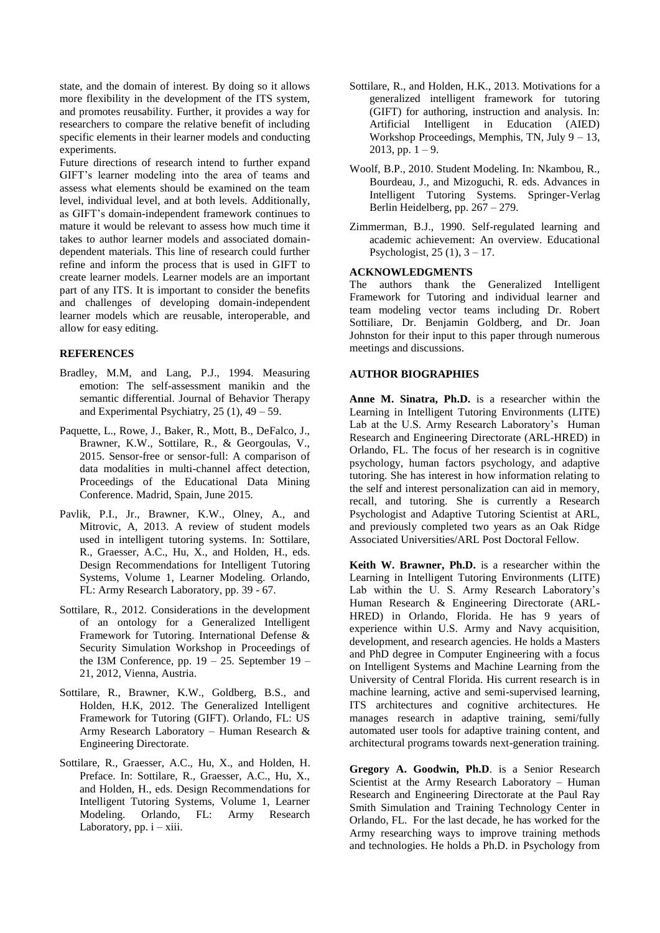state, and the domain of interest. By doing so it allows more flexibility in the development of the ITS system, and promotes reusability. Further, it provides a way for researchers to compare the relative benefit of including specific elements in their learner models and conducting experiments.

Future directions of research intend to further expand GIFT's learner modeling into the area of teams and assess what elements should be examined on the team level, individual level, and at both levels. Additionally, as GIFT's domain-independent framework continues to mature it would be relevant to assess how much time it takes to author learner models and associated domaindependent materials. This line of research could further refine and inform the process that is used in GIFT to create learner models. Learner models are an important part of any ITS. It is important to consider the benefits and challenges of developing domain-independent learner models which are reusable, interoperable, and allow for easy editing.

#### **REFERENCES**

- Bradley, M.M, and Lang, P.J., 1994. Measuring emotion: The self-assessment manikin and the semantic differential. Journal of Behavior Therapy and Experimental Psychiatry,  $25(1)$ ,  $49-59$ .
- Paquette, L., Rowe, J., Baker, R., Mott, B., DeFalco, J., Brawner, K.W., Sottilare, R., & Georgoulas, V., 2015. Sensor-free or sensor-full: A comparison of data modalities in multi-channel affect detection, Proceedings of the Educational Data Mining Conference. Madrid, Spain, June 2015.
- Pavlik, P.I., Jr., Brawner, K.W., Olney, A., and Mitrovic, A, 2013. A review of student models used in intelligent tutoring systems. In: Sottilare, R., Graesser, A.C., Hu, X., and Holden, H., eds. Design Recommendations for Intelligent Tutoring Systems, Volume 1, Learner Modeling. Orlando, FL: Army Research Laboratory, pp. 39 - 67.
- Sottilare, R., 2012. Considerations in the development of an ontology for a Generalized Intelligent Framework for Tutoring. International Defense & Security Simulation Workshop in Proceedings of the I3M Conference, pp. 19 – 25. September 19 – 21, 2012, Vienna, Austria.
- Sottilare, R., Brawner, K.W., Goldberg, B.S., and Holden, H.K, 2012. The Generalized Intelligent Framework for Tutoring (GIFT). Orlando, FL: US Army Research Laboratory – Human Research & Engineering Directorate.
- Sottilare, R., Graesser, A.C., Hu, X., and Holden, H. Preface. In: Sottilare, R., Graesser, A.C., Hu, X., and Holden, H., eds. Design Recommendations for Intelligent Tutoring Systems, Volume 1, Learner Modeling. Orlando, FL: Army Research Laboratory, pp.  $i - xiii$ .
- Sottilare, R., and Holden, H.K., 2013. Motivations for a generalized intelligent framework for tutoring (GIFT) for authoring, instruction and analysis. In: Artificial Intelligent in Education (AIED) Workshop Proceedings, Memphis, TN, July 9 – 13,  $2013$ , pp.  $1 - 9$ .
- Woolf, B.P., 2010. Student Modeling. In: Nkambou, R., Bourdeau, J., and Mizoguchi, R. eds. Advances in Intelligent Tutoring Systems. Springer-Verlag Berlin Heidelberg, pp. 267 – 279.
- Zimmerman, B.J., 1990. Self-regulated learning and academic achievement: An overview. Educational Psychologist,  $25(1)$ ,  $3 - 17$ .

## **ACKNOWLEDGMENTS**

The authors thank the Generalized Intelligent Framework for Tutoring and individual learner and team modeling vector teams including Dr. Robert Sottiliare, Dr. Benjamin Goldberg, and Dr. Joan Johnston for their input to this paper through numerous meetings and discussions.

### **AUTHOR BIOGRAPHIES**

**Anne M. Sinatra, Ph.D.** is a researcher within the Learning in Intelligent Tutoring Environments (LITE) Lab at the U.S. Army Research Laboratory's Human Research and Engineering Directorate (ARL-HRED) in Orlando, FL. The focus of her research is in cognitive psychology, human factors psychology, and adaptive tutoring. She has interest in how information relating to the self and interest personalization can aid in memory, recall, and tutoring. She is currently a Research Psychologist and Adaptive Tutoring Scientist at ARL, and previously completed two years as an Oak Ridge Associated Universities/ARL Post Doctoral Fellow.

**Keith W. Brawner, Ph.D.** is a researcher within the Learning in Intelligent Tutoring Environments (LITE) Lab within the U. S. Army Research Laboratory's Human Research & Engineering Directorate (ARL-HRED) in Orlando, Florida. He has 9 years of experience within U.S. Army and Navy acquisition, development, and research agencies. He holds a Masters and PhD degree in Computer Engineering with a focus on Intelligent Systems and Machine Learning from the University of Central Florida. His current research is in machine learning, active and semi-supervised learning, ITS architectures and cognitive architectures. He manages research in adaptive training, semi/fully automated user tools for adaptive training content, and architectural programs towards next-generation training.

**Gregory A. Goodwin, Ph.D**. is a Senior Research Scientist at the Army Research Laboratory – Human Research and Engineering Directorate at the Paul Ray Smith Simulation and Training Technology Center in Orlando, FL. For the last decade, he has worked for the Army researching ways to improve training methods and technologies. He holds a Ph.D. in Psychology from